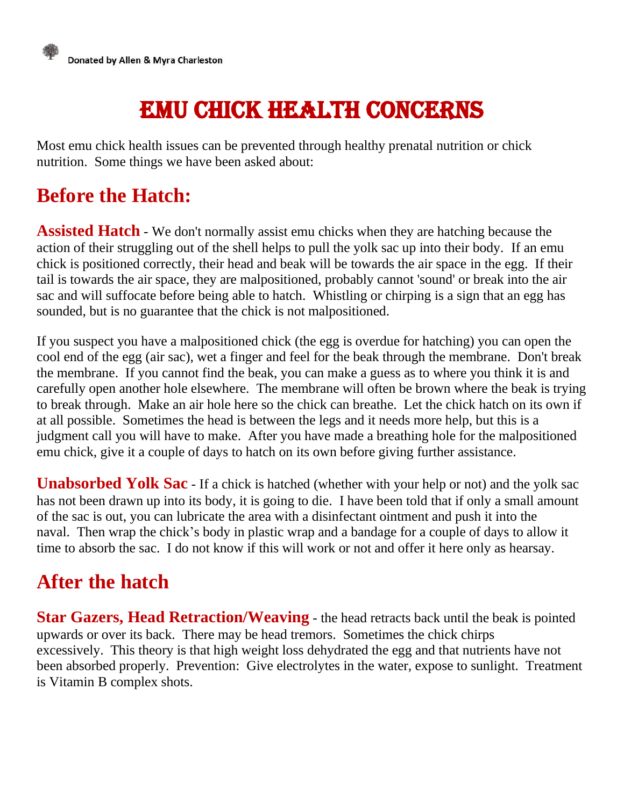

# Emu Chick Health Concerns

Most emu chick health issues can be prevented through healthy prenatal nutrition or chick nutrition. Some things we have been asked about:

#### **Before the Hatch:**

**Assisted Hatch** - We don't normally assist emu chicks when they are hatching because the action of their struggling out of the shell helps to pull the yolk sac up into their body. If an emu chick is positioned correctly, their head and beak will be towards the air space in the egg. If their tail is towards the air space, they are malpositioned, probably cannot 'sound' or break into the air sac and will suffocate before being able to hatch. Whistling or chirping is a sign that an egg has sounded, but is no guarantee that the chick is not malpositioned.

If you suspect you have a malpositioned chick (the egg is overdue for hatching) you can open the cool end of the egg (air sac), wet a finger and feel for the beak through the membrane. Don't break the membrane. If you cannot find the beak, you can make a guess as to where you think it is and carefully open another hole elsewhere. The membrane will often be brown where the beak is trying to break through. Make an air hole here so the chick can breathe. Let the chick hatch on its own if at all possible. Sometimes the head is between the legs and it needs more help, but this is a judgment call you will have to make. After you have made a breathing hole for the malpositioned emu chick, give it a couple of days to hatch on its own before giving further assistance.

**Unabsorbed Yolk Sac** - If a chick is hatched (whether with your help or not) and the yolk sac has not been drawn up into its body, it is going to die. I have been told that if only a small amount of the sac is out, you can lubricate the area with a disinfectant ointment and push it into the naval. Then wrap the chick's body in plastic wrap and a bandage for a couple of days to allow it time to absorb the sac. I do not know if this will work or not and offer it here only as hearsay.

#### **After the hatch**

**Star Gazers, Head Retraction/Weaving** - the head retracts back until the beak is pointed upwards or over its back. There may be head tremors. Sometimes the chick chirps excessively. This theory is that high weight loss dehydrated the egg and that nutrients have not been absorbed properly. Prevention: Give electrolytes in the water, expose to sunlight. Treatment is Vitamin B complex shots.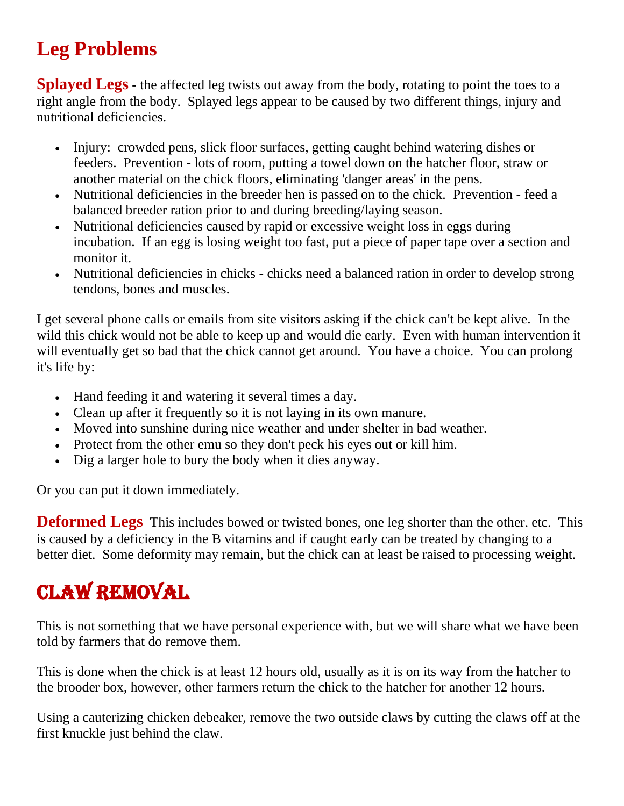### **Leg Problems**

**Splayed Legs** - the affected leg twists out away from the body, rotating to point the toes to a right angle from the body. Splayed legs appear to be caused by two different things, injury and nutritional deficiencies.

- Injury: crowded pens, slick floor surfaces, getting caught behind watering dishes or feeders. Prevention - lots of room, putting a towel down on the hatcher floor, straw or another material on the chick floors, eliminating 'danger areas' in the pens.
- Nutritional deficiencies in the breeder hen is passed on to the chick. Prevention feed a balanced breeder ration prior to and during breeding/laying season.
- Nutritional deficiencies caused by rapid or excessive weight loss in eggs during incubation. If an egg is losing weight too fast, put a piece of paper tape over a section and monitor it.
- Nutritional deficiencies in chicks chicks need a balanced ration in order to develop strong tendons, bones and muscles.

I get several phone calls or emails from site visitors asking if the chick can't be kept alive. In the wild this chick would not be able to keep up and would die early. Even with human intervention it will eventually get so bad that the chick cannot get around. You have a choice. You can prolong it's life by:

- Hand feeding it and watering it several times a day.
- Clean up after it frequently so it is not laying in its own manure.
- Moved into sunshine during nice weather and under shelter in bad weather.
- Protect from the other emu so they don't peck his eyes out or kill him.
- Dig a larger hole to bury the body when it dies anyway.

Or you can put it down immediately.

**Deformed Legs** This includes bowed or twisted bones, one leg shorter than the other. etc. This is caused by a deficiency in the B vitamins and if caught early can be treated by changing to a better diet. Some deformity may remain, but the chick can at least be raised to processing weight.

## Claw Removal

This is not something that we have personal experience with, but we will share what we have been told by farmers that do remove them.

This is done when the chick is at least 12 hours old, usually as it is on its way from the hatcher to the brooder box, however, other farmers return the chick to the hatcher for another 12 hours.

Using a cauterizing chicken debeaker, remove the two outside claws by cutting the claws off at the first knuckle just behind the claw.